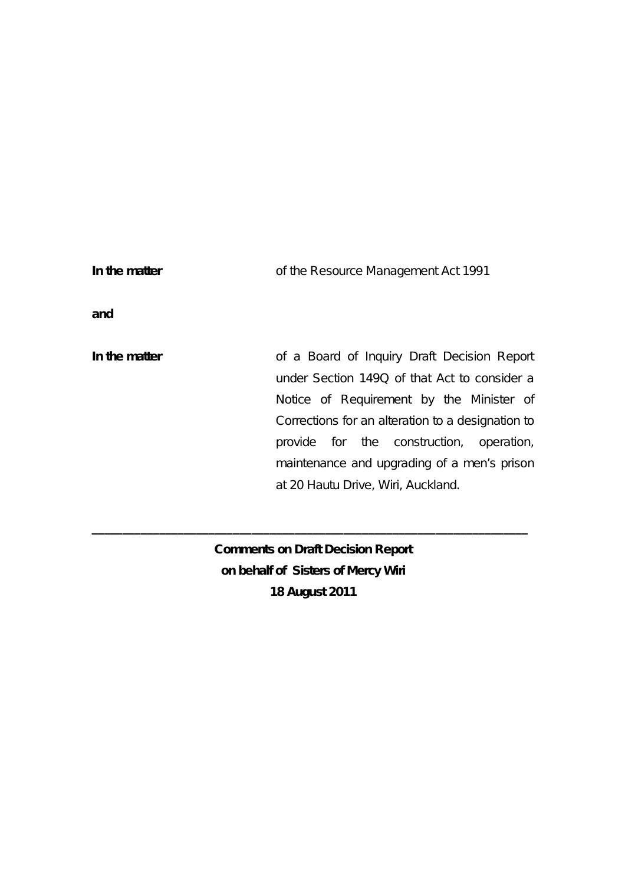| In the matter | of the Resource Management Act 1991                                                                                                                                                                                                                                                                                           |
|---------------|-------------------------------------------------------------------------------------------------------------------------------------------------------------------------------------------------------------------------------------------------------------------------------------------------------------------------------|
| and           |                                                                                                                                                                                                                                                                                                                               |
| In the matter | of a Board of Inquiry Draft Decision Report<br>under Section 149Q of that Act to consider a<br>Notice of Requirement by the Minister of<br>Corrections for an alteration to a designation to<br>provide for the construction, operation,<br>maintenance and upgrading of a men's prison<br>at 20 Hautu Drive, Wiri, Auckland. |

**Comments on Draft Decision Report on behalf of Sisters of Mercy Wiri 18 August 2011**

**\_\_\_\_\_\_\_\_\_\_\_\_\_\_\_\_\_\_\_\_\_\_\_\_\_\_\_\_\_\_\_\_\_\_\_\_\_\_\_\_\_\_\_\_\_\_\_\_\_\_\_\_\_\_\_\_\_\_\_\_\_\_\_\_\_\_\_\_\_\_\_**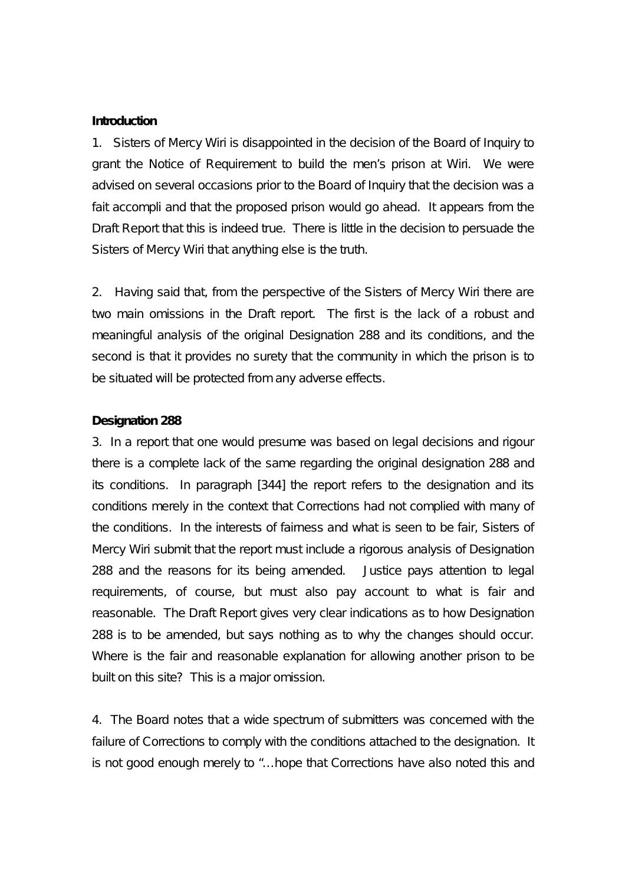## **Introduction**

1. Sisters of Mercy Wiri is disappointed in the decision of the Board of Inquiry to grant the Notice of Requirement to build the men's prison at Wiri. We were advised on several occasions prior to the Board of Inquiry that the decision was a fait accompli and that the proposed prison would go ahead. It appears from the Draft Report that this is indeed true. There is little in the decision to persuade the Sisters of Mercy Wiri that anything else is the truth.

2. Having said that, from the perspective of the Sisters of Mercy Wiri there are two main omissions in the Draft report. The first is the lack of a robust and meaningful analysis of the original Designation 288 and its conditions, and the second is that it provides no surety that the community in which the prison is to be situated will be protected from any adverse effects.

## **Designation 288**

3. In a report that one would presume was based on legal decisions and rigour there is a complete lack of the same regarding the original designation 288 and its conditions. In paragraph [344] the report refers to the designation and its conditions merely in the context that Corrections had not complied with many of the conditions. In the interests of fairness and what is seen to be fair, Sisters of Mercy Wiri submit that the report must include a rigorous analysis of Designation 288 and the reasons for its being amended. Justice pays attention to legal requirements, of course, but must also pay account to what is fair and reasonable. The Draft Report gives very clear indications as to how Designation 288 is to be amended, but says nothing as to why the changes should occur. Where is the fair and reasonable explanation for allowing another prison to be built on this site? This is a major omission.

4. The Board notes that a wide spectrum of submitters was concerned with the failure of Corrections to comply with the conditions attached to the designation. It is not good enough merely to "…hope that Corrections have also noted this and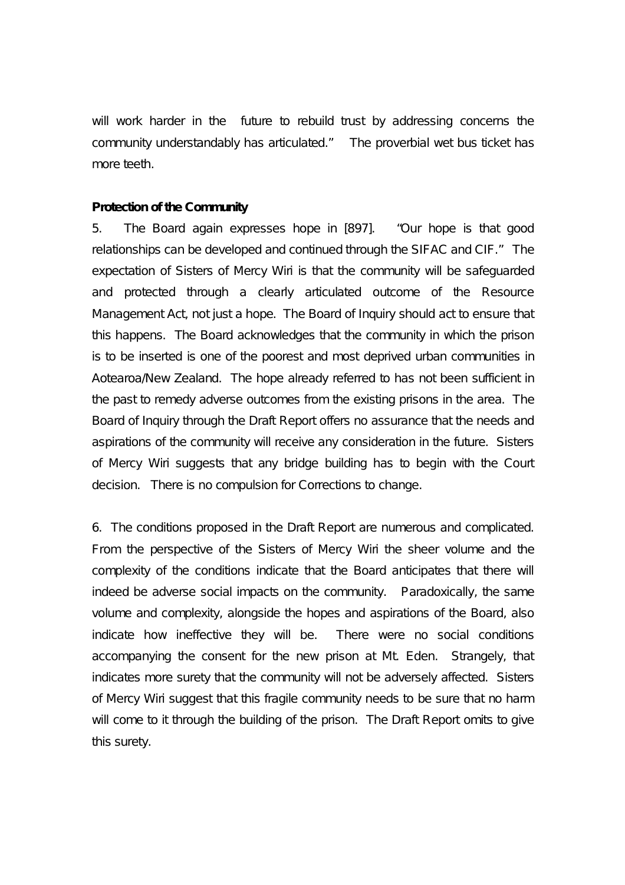will work harder in the future to rebuild trust by addressing concerns the community understandably has articulated." The proverbial wet bus ticket has more teeth.

## **Protection of the Community**

5. The Board again expresses hope in [897]. "Our hope is that good relationships can be developed and continued through the SIFAC and CIF." The expectation of Sisters of Mercy Wiri is that the community will be safeguarded and protected through a clearly articulated outcome of the Resource Management Act, not just a hope. The Board of Inquiry should act to ensure that this happens. The Board acknowledges that the community in which the prison is to be inserted is one of the poorest and most deprived urban communities in Aotearoa/New Zealand. The hope already referred to has not been sufficient in the past to remedy adverse outcomes from the existing prisons in the area. The Board of Inquiry through the Draft Report offers no assurance that the needs and aspirations of the community will receive any consideration in the future. Sisters of Mercy Wiri suggests that any bridge building has to begin with the Court decision. There is no compulsion for Corrections to change.

6. The conditions proposed in the Draft Report are numerous and complicated. From the perspective of the Sisters of Mercy Wiri the sheer volume and the complexity of the conditions indicate that the Board anticipates that there will indeed be adverse social impacts on the community. Paradoxically, the same volume and complexity, alongside the hopes and aspirations of the Board, also indicate how ineffective they will be. There were no social conditions accompanying the consent for the new prison at Mt. Eden. Strangely, that indicates more surety that the community will not be adversely affected. Sisters of Mercy Wiri suggest that this fragile community needs to be sure that no harm will come to it through the building of the prison. The Draft Report omits to give this surety.